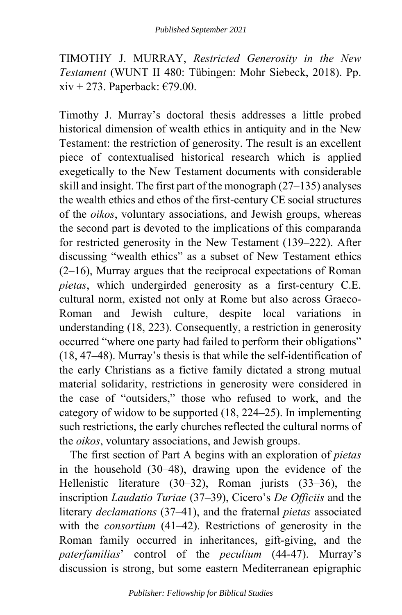TIMOTHY J. MURRAY, *Restricted Generosity in the New Testament* (WUNT II 480: Tübingen: Mohr Siebeck, 2018). Pp. xiv + 273. Paperback:  $\epsilon$ 79.00.

Timothy J. Murray's doctoral thesis addresses a little probed historical dimension of wealth ethics in antiquity and in the New Testament: the restriction of generosity. The result is an excellent piece of contextualised historical research which is applied exegetically to the New Testament documents with considerable skill and insight. The first part of the monograph (27–135) analyses the wealth ethics and ethos of the first-century CE social structures of the *oikos*, voluntary associations, and Jewish groups, whereas the second part is devoted to the implications of this comparanda for restricted generosity in the New Testament (139–222). After discussing "wealth ethics" as a subset of New Testament ethics (2–16), Murray argues that the reciprocal expectations of Roman *pietas*, which undergirded generosity as a first-century C.E. cultural norm, existed not only at Rome but also across Graeco-Roman and Jewish culture, despite local variations in understanding (18, 223). Consequently, a restriction in generosity occurred "where one party had failed to perform their obligations" (18, 47–48). Murray's thesis is that while the self-identification of the early Christians as a fictive family dictated a strong mutual material solidarity, restrictions in generosity were considered in the case of "outsiders," those who refused to work, and the category of widow to be supported (18, 224–25). In implementing such restrictions, the early churches reflected the cultural norms of the *oikos*, voluntary associations, and Jewish groups.

The first section of Part A begins with an exploration of *pietas* in the household (30–48), drawing upon the evidence of the Hellenistic literature (30–32), Roman jurists (33–36), the inscription *Laudatio Turiae* (37–39), Cicero's *De Officiis* and the literary *declamations* (37–41), and the fraternal *pietas* associated with the *consortium* (41–42). Restrictions of generosity in the Roman family occurred in inheritances, gift-giving, and the *paterfamilias*' control of the *peculium* (44-47). Murray's discussion is strong, but some eastern Mediterranean epigraphic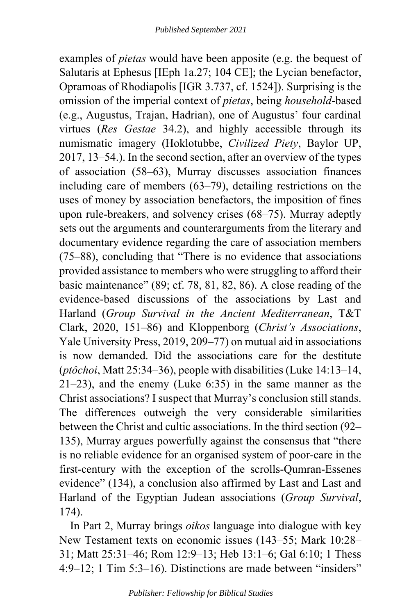examples of *pietas* would have been apposite (e.g. the bequest of Salutaris at Ephesus [IEph 1a.27; 104 CE]; the Lycian benefactor, Opramoas of Rhodiapolis [IGR 3.737, cf. 1524]). Surprising is the omission of the imperial context of *pietas*, being *household*-based (e.g., Augustus, Trajan, Hadrian), one of Augustus' four cardinal virtues (*Res Gestae* 34.2), and highly accessible through its numismatic imagery (Hoklotubbe, *Civilized Piety*, Baylor UP, 2017, 13–54.). In the second section, after an overview of the types of association (58–63), Murray discusses association finances including care of members (63–79), detailing restrictions on the uses of money by association benefactors, the imposition of fines upon rule-breakers, and solvency crises (68–75). Murray adeptly sets out the arguments and counterarguments from the literary and documentary evidence regarding the care of association members (75–88), concluding that "There is no evidence that associations provided assistance to members who were struggling to afford their basic maintenance" (89; cf. 78, 81, 82, 86). A close reading of the evidence-based discussions of the associations by Last and Harland (*Group Survival in the Ancient Mediterranean*, T&T Clark, 2020, 151–86) and Kloppenborg (*Christ's Associations*, Yale University Press, 2019, 209–77) on mutual aid in associations is now demanded. Did the associations care for the destitute (*ptôchoi*, Matt 25:34–36), people with disabilities (Luke 14:13–14, 21–23), and the enemy (Luke 6:35) in the same manner as the Christ associations? I suspect that Murray's conclusion still stands. The differences outweigh the very considerable similarities between the Christ and cultic associations. In the third section (92– 135), Murray argues powerfully against the consensus that "there is no reliable evidence for an organised system of poor-care in the first-century with the exception of the scrolls-Qumran-Essenes evidence" (134), a conclusion also affirmed by Last and Last and Harland of the Egyptian Judean associations (*Group Survival*, 174).

In Part 2, Murray brings *oikos* language into dialogue with key New Testament texts on economic issues (143–55; Mark 10:28– 31; Matt 25:31–46; Rom 12:9–13; Heb 13:1–6; Gal 6:10; 1 Thess 4:9–12; 1 Tim 5:3–16). Distinctions are made between "insiders"